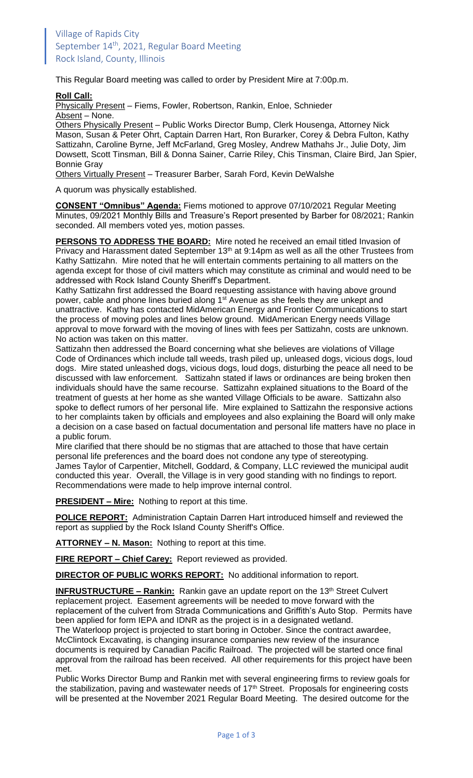This Regular Board meeting was called to order by President Mire at 7:00p.m.

## **Roll Call:**

Physically Present – Fiems, Fowler, Robertson, Rankin, Enloe, Schnieder Absent - None.

Others Physically Present – Public Works Director Bump, Clerk Housenga, Attorney Nick Mason, Susan & Peter Ohrt, Captain Darren Hart, Ron Burarker, Corey & Debra Fulton, Kathy Sattizahn, Caroline Byrne, Jeff McFarland, Greg Mosley, Andrew Mathahs Jr., Julie Doty, Jim Dowsett, Scott Tinsman, Bill & Donna Sainer, Carrie Riley, Chis Tinsman, Claire Bird, Jan Spier, Bonnie Gray

Others Virtually Present – Treasurer Barber, Sarah Ford, Kevin DeWalshe

A quorum was physically established.

**CONSENT "Omnibus" Agenda:** Fiems motioned to approve 07/10/2021 Regular Meeting Minutes, 09/2021 Monthly Bills and Treasure's Report presented by Barber for 08/2021; Rankin seconded. All members voted yes, motion passes.

**PERSONS TO ADDRESS THE BOARD:** Mire noted he received an email titled Invasion of Privacy and Harassment dated September 13<sup>th</sup> at 9:14pm as well as all the other Trustees from Kathy Sattizahn. Mire noted that he will entertain comments pertaining to all matters on the agenda except for those of civil matters which may constitute as criminal and would need to be addressed with Rock Island County Sheriff's Department.

Kathy Sattizahn first addressed the Board requesting assistance with having above ground power, cable and phone lines buried along 1<sup>st</sup> Avenue as she feels they are unkept and unattractive. Kathy has contacted MidAmerican Energy and Frontier Communications to start the process of moving poles and lines below ground. MidAmerican Energy needs Village approval to move forward with the moving of lines with fees per Sattizahn, costs are unknown. No action was taken on this matter.

Sattizahn then addressed the Board concerning what she believes are violations of Village Code of Ordinances which include tall weeds, trash piled up, unleased dogs, vicious dogs, loud dogs. Mire stated unleashed dogs, vicious dogs, loud dogs, disturbing the peace all need to be discussed with law enforcement. Sattizahn stated if laws or ordinances are being broken then individuals should have the same recourse. Sattizahn explained situations to the Board of the treatment of guests at her home as she wanted Village Officials to be aware. Sattizahn also spoke to deflect rumors of her personal life. Mire explained to Sattizahn the responsive actions to her complaints taken by officials and employees and also explaining the Board will only make a decision on a case based on factual documentation and personal life matters have no place in a public forum.

Mire clarified that there should be no stigmas that are attached to those that have certain personal life preferences and the board does not condone any type of stereotyping. James Taylor of Carpentier, Mitchell, Goddard, & Company, LLC reviewed the municipal audit conducted this year. Overall, the Village is in very good standing with no findings to report. Recommendations were made to help improve internal control.

**PRESIDENT – Mire:** Nothing to report at this time.

**POLICE REPORT:** Administration Captain Darren Hart introduced himself and reviewed the report as supplied by the Rock Island County Sheriff's Office.

**ATTORNEY – N. Mason:** Nothing to report at this time.

**FIRE REPORT – Chief Carey:** Report reviewed as provided.

**DIRECTOR OF PUBLIC WORKS REPORT:** No additional information to report.

**INFRUSTRUCTURE – Rankin:** Rankin gave an update report on the 13<sup>th</sup> Street Culvert replacement project. Easement agreements will be needed to move forward with the replacement of the culvert from Strada Communications and Griffith's Auto Stop. Permits have been applied for form IEPA and IDNR as the project is in a designated wetland. The Waterloop project is projected to start boring in October. Since the contract awardee, McClintock Excavating, is changing insurance companies new review of the insurance documents is required by Canadian Pacific Railroad. The projected will be started once final approval from the railroad has been received. All other requirements for this project have been met.

Public Works Director Bump and Rankin met with several engineering firms to review goals for the stabilization, paving and wastewater needs of 17<sup>th</sup> Street. Proposals for engineering costs will be presented at the November 2021 Regular Board Meeting. The desired outcome for the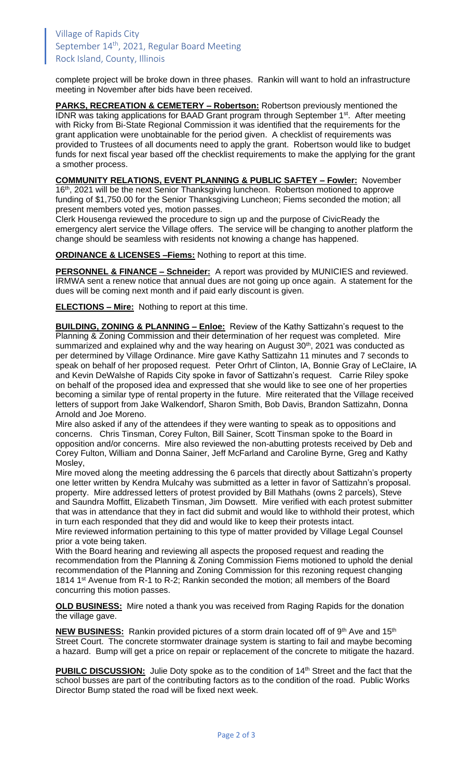complete project will be broke down in three phases. Rankin will want to hold an infrastructure meeting in November after bids have been received.

**PARKS, RECREATION & CEMETERY – Robertson:** Robertson previously mentioned the IDNR was taking applications for BAAD Grant program through September 1<sup>st</sup>. After meeting with Ricky from Bi-State Regional Commission it was identified that the requirements for the grant application were unobtainable for the period given. A checklist of requirements was provided to Trustees of all documents need to apply the grant. Robertson would like to budget funds for next fiscal year based off the checklist requirements to make the applying for the grant a smother process.

**COMMUNITY RELATIONS, EVENT PLANNING & PUBLIC SAFTEY – Fowler:** November 16<sup>th</sup>, 2021 will be the next Senior Thanksgiving luncheon. Robertson motioned to approve funding of \$1,750.00 for the Senior Thanksgiving Luncheon; Fiems seconded the motion; all present members voted yes, motion passes.

Clerk Housenga reviewed the procedure to sign up and the purpose of CivicReady the emergency alert service the Village offers. The service will be changing to another platform the change should be seamless with residents not knowing a change has happened.

**ORDINANCE & LICENSES –Fiems:** Nothing to report at this time.

**PERSONNEL & FINANCE – Schneider:** A report was provided by MUNICIES and reviewed. IRMWA sent a renew notice that annual dues are not going up once again. A statement for the dues will be coming next month and if paid early discount is given.

**ELECTIONS – Mire:** Nothing to report at this time.

**BUILDING, ZONING & PLANNING – Enloe:** Review of the Kathy Sattizahn's request to the Planning & Zoning Commission and their determination of her request was completed. Mire summarized and explained why and the way hearing on August 30<sup>th</sup>, 2021 was conducted as per determined by Village Ordinance. Mire gave Kathy Sattizahn 11 minutes and 7 seconds to speak on behalf of her proposed request. Peter Orhrt of Clinton, IA, Bonnie Gray of LeClaire, IA and Kevin DeWalshe of Rapids City spoke in favor of Sattizahn's request. Carrie Riley spoke on behalf of the proposed idea and expressed that she would like to see one of her properties becoming a similar type of rental property in the future. Mire reiterated that the Village received letters of support from Jake Walkendorf, Sharon Smith, Bob Davis, Brandon Sattizahn, Donna Arnold and Joe Moreno.

Mire also asked if any of the attendees if they were wanting to speak as to oppositions and concerns. Chris Tinsman, Corey Fulton, Bill Sainer, Scott Tinsman spoke to the Board in opposition and/or concerns. Mire also reviewed the non-abutting protests received by Deb and Corey Fulton, William and Donna Sainer, Jeff McFarland and Caroline Byrne, Greg and Kathy Mosley,

Mire moved along the meeting addressing the 6 parcels that directly about Sattizahn's property one letter written by Kendra Mulcahy was submitted as a letter in favor of Sattizahn's proposal. property. Mire addressed letters of protest provided by Bill Mathahs (owns 2 parcels), Steve and Saundra Moffitt, Elizabeth Tinsman, Jim Dowsett. Mire verified with each protest submitter that was in attendance that they in fact did submit and would like to withhold their protest, which in turn each responded that they did and would like to keep their protests intact.

Mire reviewed information pertaining to this type of matter provided by Village Legal Counsel prior a vote being taken.

With the Board hearing and reviewing all aspects the proposed request and reading the recommendation from the Planning & Zoning Commission Fiems motioned to uphold the denial recommendation of the Planning and Zoning Commission for this rezoning request changing 1814 1<sup>st</sup> Avenue from R-1 to R-2; Rankin seconded the motion; all members of the Board concurring this motion passes.

**OLD BUSINESS:** Mire noted a thank you was received from Raging Rapids for the donation the village gave.

**NEW BUSINESS:** Rankin provided pictures of a storm drain located off of 9<sup>th</sup> Ave and 15<sup>th</sup> Street Court. The concrete stormwater drainage system is starting to fail and maybe becoming a hazard. Bump will get a price on repair or replacement of the concrete to mitigate the hazard.

**PUBILC DISCUSSION:** Julie Doty spoke as to the condition of 14<sup>th</sup> Street and the fact that the school busses are part of the contributing factors as to the condition of the road. Public Works Director Bump stated the road will be fixed next week.